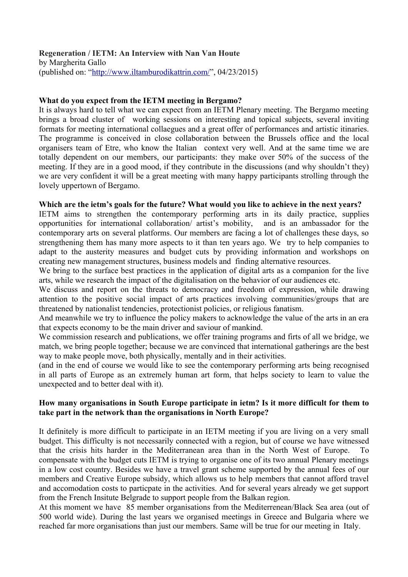#### **Regeneration / IETM: An Interview with Nan Van Houte** by Margherita Gallo

(published on: ["http://www.iltamburodikattrin.com/"](http://www.iltamburodikattrin.com/), 04/23/2015)

# **What do you expect from the IETM meeting in Bergamo?**

It is always hard to tell what we can expect from an IETM Plenary meeting. The Bergamo meeting brings a broad cluster of working sessions on interesting and topical subjects, several inviting formats for meeting international collaegues and a great offer of performances and artistic itinaries. The programme is conceived in close collaboration between the Brussels office and the local organisers team of Etre, who know the Italian context very well. And at the same time we are totally dependent on our members, our participants: they make over 50% of the success of the meeting. If they are in a good mood, if they contribute in the discussions (and why shouldn't they) we are very confident it will be a great meeting with many happy participants strolling through the lovely uppertown of Bergamo.

# **Which are the ietm's goals for the future? What would you like to achieve in the next years?**

IETM aims to strengthen the contemporary performing arts in its daily practice, supplies opportunities for international collaboration/ artist's mobility, and is an ambassador for the contemporary arts on several platforms. Our members are facing a lot of challenges these days, so strengthening them has many more aspects to it than ten years ago. We try to help companies to adapt to the austerity measures and budget cuts by providing information and workshops on creating new management structures, business models and finding alternative resources.

We bring to the surface best practices in the application of digital arts as a companion for the live arts, while we research the impact of the digitalisation on the behavior of our audiences etc.

We discuss and report on the threats to democracy and freedom of expression, while drawing attention to the positive social impact of arts practices involving communities/groups that are threatened by nationalist tendencies, protectionist policies, or religious fanatism.

And meanwhile we try to influence the policy makers to acknowledge the value of the arts in an era that expects economy to be the main driver and saviour of mankind.

We commission research and publications, we offer training programs and firts of all we bridge, we match, we bring people together; because we are convinced that international gatherings are the best way to make people move, both physically, mentally and in their activities.

(and in the end of course we would like to see the contemporary performing arts being recognised in all parts of Europe as an extremely human art form, that helps society to learn to value the unexpected and to better deal with it).

## **How many organisations in South Europe participate in ietm? Is it more difficult for them to take part in the network than the organisations in North Europe?**

It definitely is more difficult to participate in an IETM meeting if you are living on a very small budget. This difficulty is not necessarily connected with a region, but of course we have witnessed that the crisis hits harder in the Mediterranean area than in the North West of Europe. To compensate with the budget cuts IETM is trying to organise one of its two annual Plenary meetings in a low cost country. Besides we have a travel grant scheme supported by the annual fees of our members and Creative Europe subsidy, which allows us to help members that cannot afford travel and accomodation costs to particpate in the activities. And for several years already we get support from the French Insitute Belgrade to support people from the Balkan region.

At this moment we have 85 member organisations from the Mediterrenean/Black Sea area (out of 500 world wide). During the last years we organised meetings in Greece and Bulgaria where we reached far more organisations than just our members. Same will be true for our meeting in Italy.